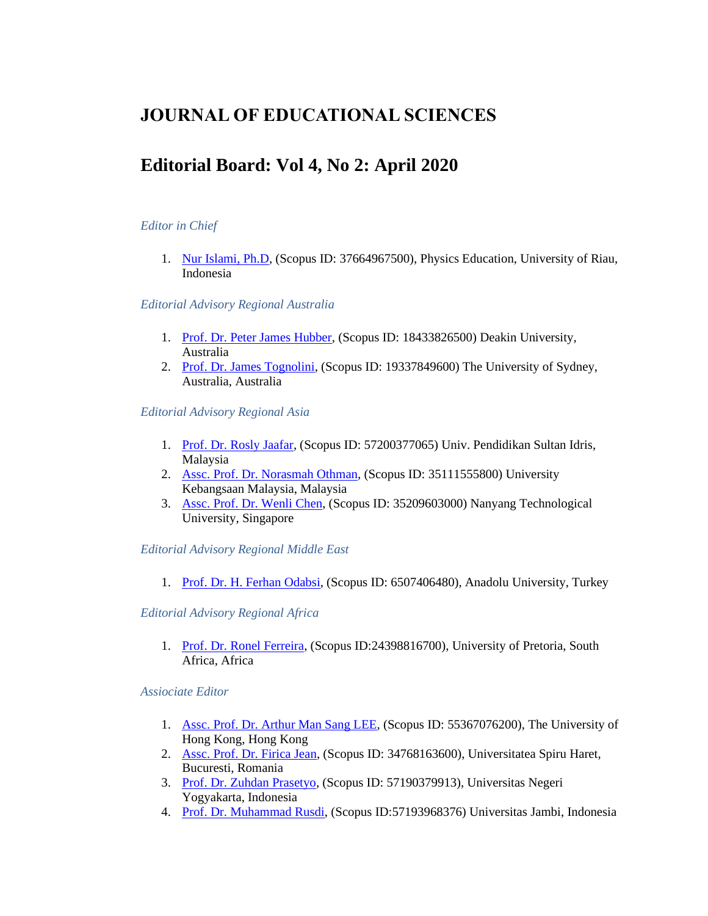# **JOURNAL OF EDUCATIONAL SCIENCES**

# **Editorial Board: Vol 4, No 2: April 2020**

# *Editor in Chief*

1. [Nur Islami, Ph.D,](javascript:openRTWindow() (Scopus ID: 37664967500), Physics Education, University of Riau, Indonesia

#### *Editorial Advisory Regional Australia*

- 1. [Prof. Dr. Peter James Hubber,](javascript:openRTWindow() (Scopus ID: 18433826500) Deakin University, Australia
- 2. [Prof. Dr. James Tognolini,](javascript:openRTWindow() (Scopus ID: 19337849600) The University of Sydney, Australia, Australia

*Editorial Advisory Regional Asia*

- 1. [Prof. Dr. Rosly Jaafar,](javascript:openRTWindow() (Scopus ID: 57200377065) Univ. Pendidikan Sultan Idris, Malaysia
- 2. [Assc. Prof. Dr. Norasmah Othman,](javascript:openRTWindow() (Scopus ID: 35111555800) University Kebangsaan Malaysia, Malaysia
- 3. [Assc. Prof. Dr. Wenli Chen,](javascript:openRTWindow() (Scopus ID: 35209603000) Nanyang Technological University, Singapore

## *Editorial Advisory Regional Middle East*

1. [Prof. Dr. H. Ferhan Odabsi,](javascript:openRTWindow() (Scopus ID: 6507406480), Anadolu University, Turkey

## *Editorial Advisory Regional Africa*

1. [Prof. Dr. Ronel Ferreira,](javascript:openRTWindow() (Scopus ID:24398816700), University of Pretoria, South Africa, Africa

#### *Assiociate Editor*

- 1. [Assc. Prof. Dr. Arthur Man Sang LEE,](javascript:openRTWindow() (Scopus ID: 55367076200), The University of Hong Kong, Hong Kong
- 2. [Assc. Prof. Dr. Firica Jean,](javascript:openRTWindow() (Scopus ID: 34768163600), Universitatea Spiru Haret, Bucuresti, Romania
- 3. [Prof. Dr. Zuhdan Prasetyo,](javascript:openRTWindow() (Scopus ID: 57190379913), Universitas Negeri Yogyakarta, Indonesia
- 4. [Prof. Dr. Muhammad Rusdi,](javascript:openRTWindow() (Scopus ID:57193968376) Universitas Jambi, Indonesia